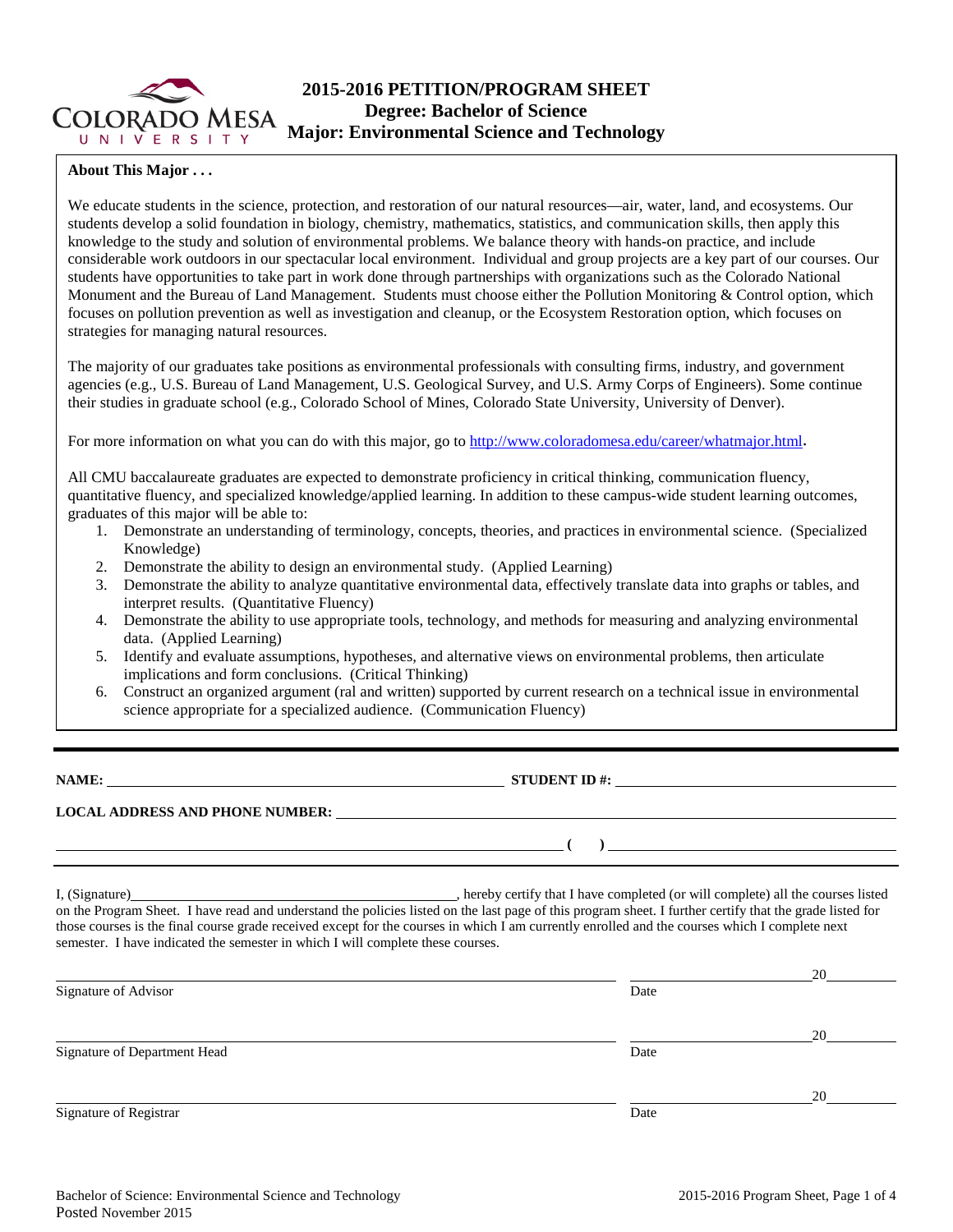

# **2015-2016 PETITION/PROGRAM SHEET Degree: Bachelor of Science Major: Environmental Science and Technology**

## **About This Major . . .**

We educate students in the science, protection, and restoration of our natural resources—air, water, land, and ecosystems. Our students develop a solid foundation in biology, chemistry, mathematics, statistics, and communication skills, then apply this knowledge to the study and solution of environmental problems. We balance theory with hands-on practice, and include considerable work outdoors in our spectacular local environment. Individual and group projects are a key part of our courses. Our students have opportunities to take part in work done through partnerships with organizations such as the Colorado National Monument and the Bureau of Land Management. Students must choose either the Pollution Monitoring & Control option, which focuses on pollution prevention as well as investigation and cleanup, or the Ecosystem Restoration option, which focuses on strategies for managing natural resources.

The majority of our graduates take positions as environmental professionals with consulting firms, industry, and government agencies (e.g., U.S. Bureau of Land Management, U.S. Geological Survey, and U.S. Army Corps of Engineers). Some continue their studies in graduate school (e.g., Colorado School of Mines, Colorado State University, University of Denver).

For more information on what you can do with this major, go to [http://www.coloradomesa.edu/career/whatmajor.html.](http://www.coloradomesa.edu/career/whatmajor.html)

All CMU baccalaureate graduates are expected to demonstrate proficiency in critical thinking, communication fluency, quantitative fluency, and specialized knowledge/applied learning. In addition to these campus-wide student learning outcomes, graduates of this major will be able to:

- 1. Demonstrate an understanding of terminology, concepts, theories, and practices in environmental science. (Specialized Knowledge)
- 2. Demonstrate the ability to design an environmental study. (Applied Learning)
- 3. Demonstrate the ability to analyze quantitative environmental data, effectively translate data into graphs or tables, and interpret results. (Quantitative Fluency)
- 4. Demonstrate the ability to use appropriate tools, technology, and methods for measuring and analyzing environmental data. (Applied Learning)
- 5. Identify and evaluate assumptions, hypotheses, and alternative views on environmental problems, then articulate implications and form conclusions. (Critical Thinking)
- 6. Construct an organized argument (ral and written) supported by current research on a technical issue in environmental science appropriate for a specialized audience. (Communication Fluency)

**NAME: STUDENT ID #: STUDENT ID #: STUDENT ID #: STUDENT ID #: STUDENT ID #: STUDENT ID #: STUDENT ID #: STUDENT ID #: STUDENT ID #: STUDENT ID #: STUDENT ID #: STUDENT ID #: STUDENT ID #: STUDE** 

**( )** 

## **LOCAL ADDRESS AND PHONE NUMBER:**

I, (Signature) **I.** (Signature) **I.** (Signature) **I.** (Signature) **I.** (Signature) **I.**  $\alpha$  is the courses listed on the Program Sheet. I have read and understand the policies listed on the last page of this program sheet. I further certify that the grade listed for those courses is the final course grade received except for the courses in which I am currently enrolled and the courses which I complete next semester. I have indicated the semester in which I will complete these courses.

|                              |      | 20 |
|------------------------------|------|----|
| Signature of Advisor         | Date |    |
|                              |      | 20 |
| Signature of Department Head | Date |    |
|                              |      | 20 |
| Signature of Registrar       | Date |    |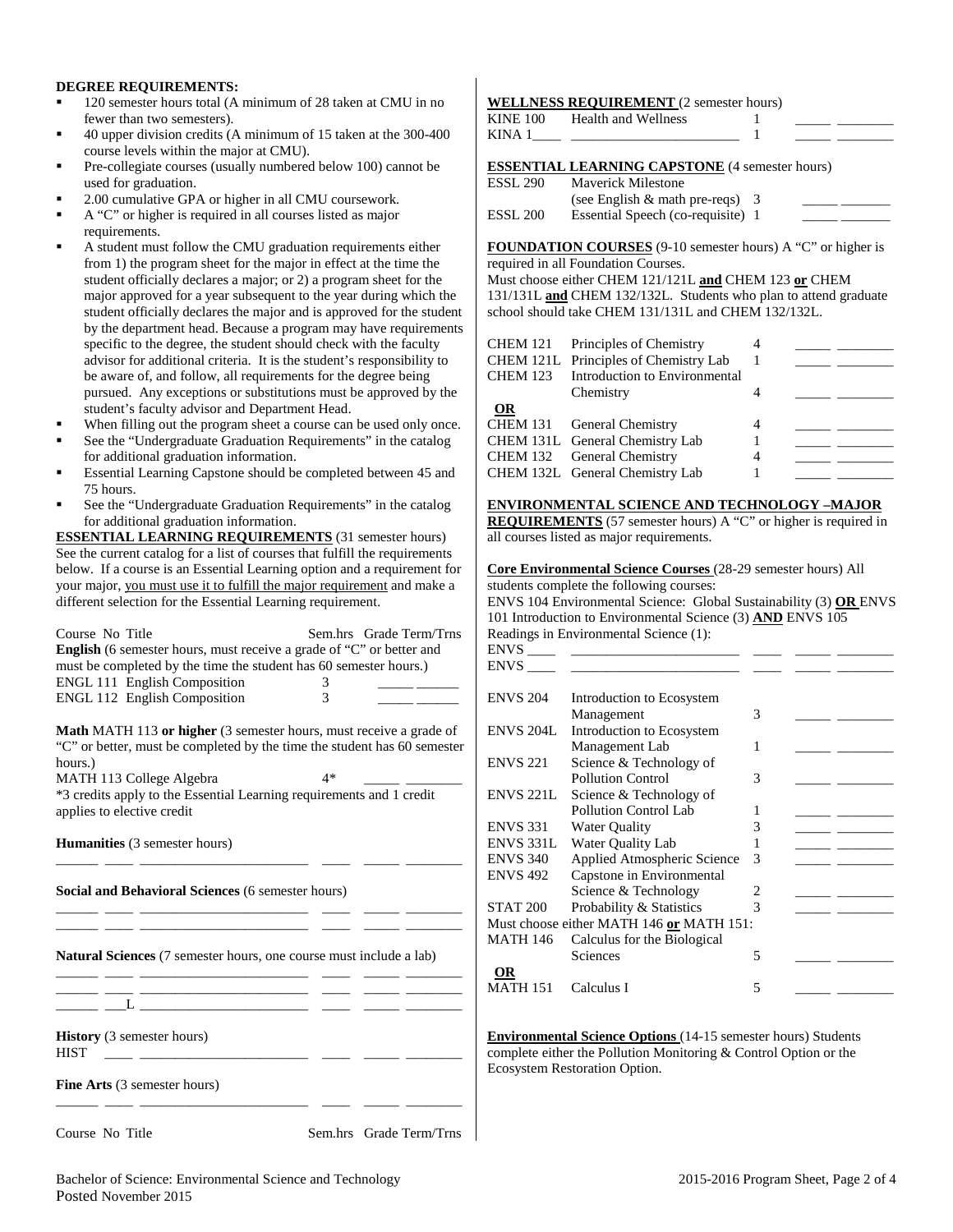### **DEGREE REQUIREMENTS:**

- 120 semester hours total (A minimum of 28 taken at CMU in no fewer than two semesters).
- 40 upper division credits (A minimum of 15 taken at the 300-400 course levels within the major at CMU).
- Pre-collegiate courses (usually numbered below 100) cannot be used for graduation.
- 2.00 cumulative GPA or higher in all CMU coursework.
- A "C" or higher is required in all courses listed as major requirements.
- A student must follow the CMU graduation requirements either from 1) the program sheet for the major in effect at the time the student officially declares a major; or 2) a program sheet for the major approved for a year subsequent to the year during which the student officially declares the major and is approved for the student by the department head. Because a program may have requirements specific to the degree, the student should check with the faculty advisor for additional criteria. It is the student's responsibility to be aware of, and follow, all requirements for the degree being pursued. Any exceptions or substitutions must be approved by the student's faculty advisor and Department Head.
- When filling out the program sheet a course can be used only once.
- See the "Undergraduate Graduation Requirements" in the catalog for additional graduation information.
- Essential Learning Capstone should be completed between 45 and 75 hours.
- See the "Undergraduate Graduation Requirements" in the catalog for additional graduation information.

**ESSENTIAL LEARNING REQUIREMENTS** (31 semester hours) See the current catalog for a list of courses that fulfill the requirements below. If a course is an Essential Learning option and a requirement for your major, you must use it to fulfill the major requirement and make a different selection for the Essential Learning requirement.

| Course No Title<br><b>English</b> (6 semester hours, must receive a grade of "C" or better and<br>must be completed by the time the student has 60 semester hours.)<br>ENGL 111 English Composition | 3    | Sem.hrs Grade Term/Trns |
|-----------------------------------------------------------------------------------------------------------------------------------------------------------------------------------------------------|------|-------------------------|
| ENGL 112 English Composition                                                                                                                                                                        | 3    |                         |
| <b>Math MATH 113 or higher</b> (3 semester hours, must receive a grade of<br>"C" or better, must be completed by the time the student has 60 semester<br>hours.)<br>MATH 113 College Algebra        | $4*$ |                         |
| *3 credits apply to the Essential Learning requirements and 1 credit                                                                                                                                |      |                         |
| applies to elective credit                                                                                                                                                                          |      |                         |
| <b>Humanities</b> (3 semester hours)                                                                                                                                                                |      |                         |
|                                                                                                                                                                                                     |      |                         |
| Social and Behavioral Sciences (6 semester hours)<br>the control of the control of the control of the control of                                                                                    |      |                         |
| <b>Natural Sciences</b> (7 semester hours, one course must include a lab)                                                                                                                           |      |                         |
|                                                                                                                                                                                                     |      |                         |
| <b>History</b> (3 semester hours)<br><b>HIST</b><br><u> 1989 - Alexandria Alexandria III.</u>                                                                                                       |      |                         |
| <b>Fine Arts</b> (3 semester hours)                                                                                                                                                                 |      |                         |
| Course No Title                                                                                                                                                                                     |      | Sem.hrs Grade Term/Trns |

### **WELLNESS REQUIREMENT** (2 semester hours)

| <b>KINE 100</b> | Health and Wellness |  |  |
|-----------------|---------------------|--|--|
| KINA.           |                     |  |  |
|                 |                     |  |  |

**ESSENTIAL LEARNING CAPSTONE** (4 semester hours)

| ESSL 290 | <b>Maverick Milestone</b>          |  |
|----------|------------------------------------|--|
|          | (see English $\&$ math pre-reqs) 3 |  |
| ESSL 200 | Essential Speech (co-requisite) 1  |  |

**FOUNDATION COURSES** (9-10 semester hours) A "C" or higher is required in all Foundation Courses.

Must choose either CHEM 121/121L **and** CHEM 123 **or** CHEM 131/131L **and** CHEM 132/132L. Students who plan to attend graduate school should take CHEM 131/131L and CHEM 132/132L.

| <b>CHEM 121</b> | Principles of Chemistry<br>CHEM 121L Principles of Chemistry Lab | 4 |  |
|-----------------|------------------------------------------------------------------|---|--|
| <b>CHEM 123</b> | Introduction to Environmental                                    |   |  |
|                 | Chemistry                                                        |   |  |
| $\Omega$        |                                                                  |   |  |
|                 | CHEM 131 General Chemistry                                       |   |  |
|                 | CHEM 131L General Chemistry Lab                                  |   |  |
|                 | CHEM 132 General Chemistry                                       |   |  |
|                 | CHEM 132L General Chemistry Lab                                  |   |  |

#### **ENVIRONMENTAL SCIENCE AND TECHNOLOGY –MAJOR**

**REQUIREMENTS** (57 semester hours) A "C" or higher is required in all courses listed as major requirements.

**Core Environmental Science Courses** (28-29 semester hours) All students complete the following courses:

ENVS 104 Environmental Science: Global Sustainability (3) **OR** ENVS 101 Introduction to Environmental Science (3) **AND** ENVS 105 Readings in Environmental Science (1):<br>ENVS

| ENVS _          |                                          |                        |  |
|-----------------|------------------------------------------|------------------------|--|
| ENVS            |                                          |                        |  |
|                 |                                          |                        |  |
| <b>ENVS 204</b> | Introduction to Ecosystem                |                        |  |
|                 | Management                               | 3                      |  |
| ENVS 204L       | Introduction to Ecosystem                |                        |  |
|                 | Management Lab                           | 1                      |  |
| ENVS 221        | Science & Technology of                  |                        |  |
|                 | <b>Pollution Control</b>                 | 3                      |  |
| ENVS 221L       | Science & Technology of                  |                        |  |
|                 | <b>Pollution Control Lab</b>             |                        |  |
| ENVS 331        | <b>Water Quality</b>                     | 3                      |  |
| ENVS 331L       | Water Quality Lab                        |                        |  |
| ENVS 340        | Applied Atmospheric Science              | 3                      |  |
| <b>ENVS 492</b> | Capstone in Environmental                |                        |  |
|                 | Science & Technology                     | $\mathfrak{D}_{\cdot}$ |  |
| STAT 200        | Probability & Statistics                 | 3                      |  |
|                 | Must choose either MATH 146 or MATH 151: |                        |  |
| MATH 146        | Calculus for the Biological              |                        |  |
|                 | Sciences                                 | 5                      |  |
| OR              |                                          |                        |  |
| MATH 151        | Calculus I                               | 5                      |  |
|                 |                                          |                        |  |

**Environmental Science Options** (14-15 semester hours) Students complete either the Pollution Monitoring & Control Option or the Ecosystem Restoration Option.

Bachelor of Science: Environmental Science and Technology 2015-2016 Program Sheet, Page 2 of 4 Posted November 2015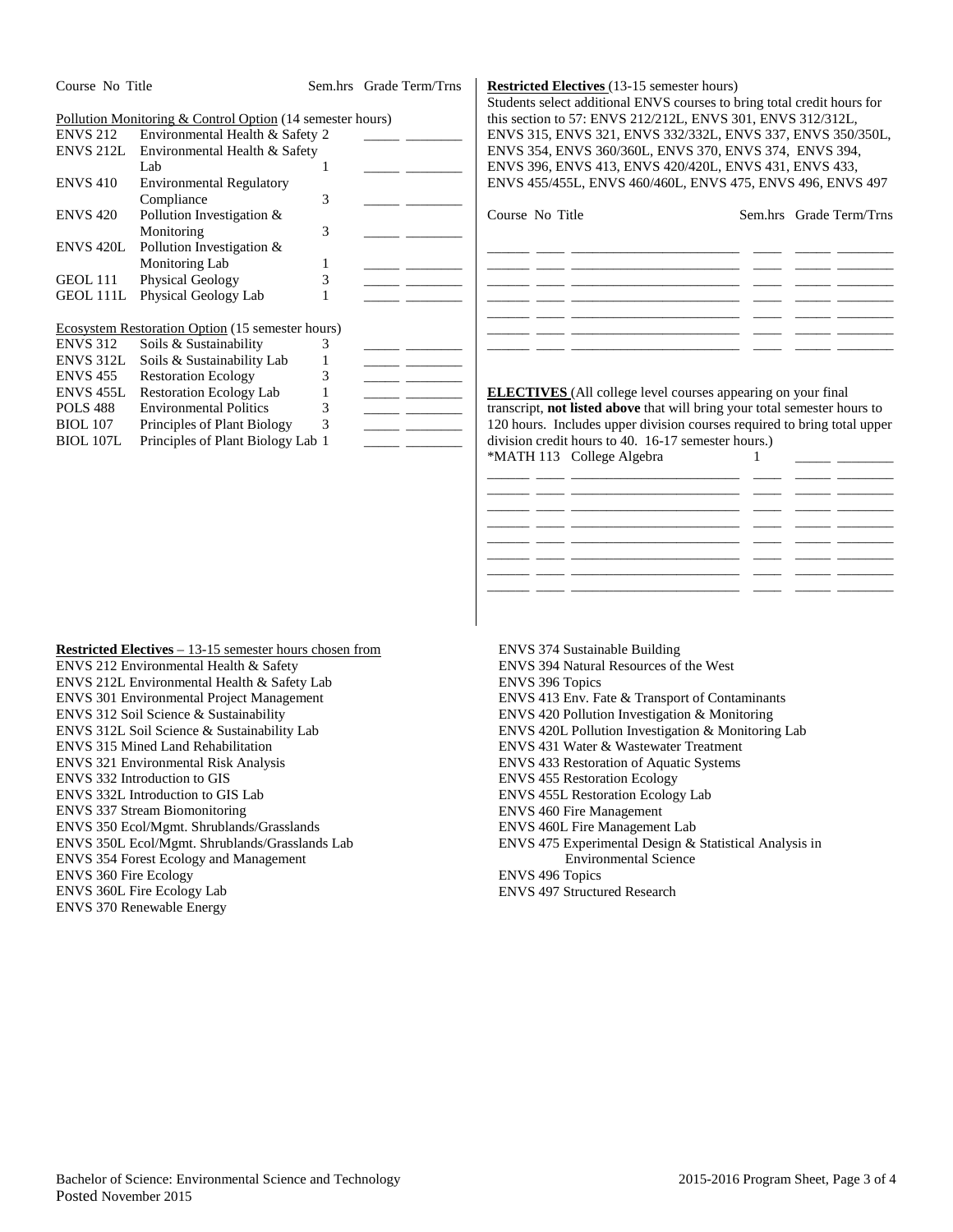| COURS IN THE     |                                                           | эсш.шэ | UTAUC TULIT THIS |
|------------------|-----------------------------------------------------------|--------|------------------|
|                  | Pollution Monitoring & Control Option (14 semester hours) |        |                  |
| <b>ENVS 212</b>  | Environmental Health & Safety 2                           |        |                  |
| ENVS 212L        | Environmental Health & Safety                             |        |                  |
|                  | Lab                                                       | 1      |                  |
| <b>ENVS 410</b>  | <b>Environmental Regulatory</b>                           |        |                  |
|                  | Compliance                                                | 3      |                  |
| <b>ENVS 420</b>  | Pollution Investigation &                                 |        |                  |
|                  | Monitoring                                                | 3      |                  |
| <b>ENVS 420L</b> | Pollution Investigation &                                 |        |                  |
|                  | <b>Monitoring Lab</b>                                     | 1      |                  |
| GEOL 111         | Physical Geology                                          | 3      |                  |
| GEOL 111L        | Physical Geology Lab                                      |        |                  |
|                  | <b>Ecosystem Restoration Option</b> (15 semester hours)   |        |                  |
| <b>ENVS 312</b>  | Soils & Sustainability                                    | 3      |                  |
| ENVS 312L        | Soils & Sustainability Lab                                | 1      |                  |
| <b>ENVS 455</b>  | <b>Restoration Ecology</b>                                | 3      |                  |
| ENVS 455L        | <b>Restoration Ecology Lab</b>                            | 1      |                  |
| <b>POLS 488</b>  | <b>Environmental Politics</b>                             | 3      |                  |
| <b>BIOL</b> 107  | Principles of Plant Biology                               | 3      |                  |
| <b>BIOL 107L</b> | Principles of Plant Biology Lab 1                         |        |                  |

Course No Title Sem.hrs Grade Term/Trns

#### **Restricted Electives** (13-15 semester hours)

Students select additional ENVS courses to bring total credit hours for this section to 57: ENVS 212/212L, ENVS 301, ENVS 312/312L, ENVS 315, ENVS 321, ENVS 332/332L, ENVS 337, ENVS 350/350L, ENVS 354, ENVS 360/360L, ENVS 370, ENVS 374, ENVS 394, ENVS 396, ENVS 413, ENVS 420/420L, ENVS 431, ENVS 433, ENVS 455/455L, ENVS 460/460L, ENVS 475, ENVS 496, ENVS 497

Course No Title Sem.hrs Grade Term/Trns

**ELECTIVES** (All college level courses appearing on your final transcript, **not listed above** that will bring your total semester hours to 120 hours. Includes upper division courses required to bring total upper division credit hours to 40. 16-17 semester hours.) \*MATH 113 College Algebra 1

**Restricted Electives** – 13-15 semester hours chosen from ENVS 212 Environmental Health & Safety ENVS 212L Environmental Health & Safety Lab ENVS 301 Environmental Project Management ENVS 312 Soil Science & Sustainability ENVS 312L Soil Science & Sustainability Lab ENVS 315 Mined Land Rehabilitation ENVS 321 Environmental Risk Analysis ENVS 332 Introduction to GIS ENVS 332L Introduction to GIS Lab ENVS 337 Stream Biomonitoring ENVS 350 Ecol/Mgmt. Shrublands/Grasslands ENVS 350L Ecol/Mgmt. Shrublands/Grasslands Lab ENVS 354 Forest Ecology and Management ENVS 360 Fire Ecology ENVS 360L Fire Ecology Lab ENVS 370 Renewable Energy

ENVS 374 Sustainable Building ENVS 394 Natural Resources of the West ENVS 396 Topics ENVS 413 Env. Fate & Transport of Contaminants ENVS 420 Pollution Investigation & Monitoring ENVS 420L Pollution Investigation & Monitoring Lab ENVS 431 Water & Wastewater Treatment ENVS 433 Restoration of Aquatic Systems ENVS 455 Restoration Ecology ENVS 455L Restoration Ecology Lab ENVS 460 Fire Management ENVS 460L Fire Management Lab ENVS 475 Experimental Design & Statistical Analysis in Environmental Science ENVS 496 Topics

ENVS 497 Structured Research